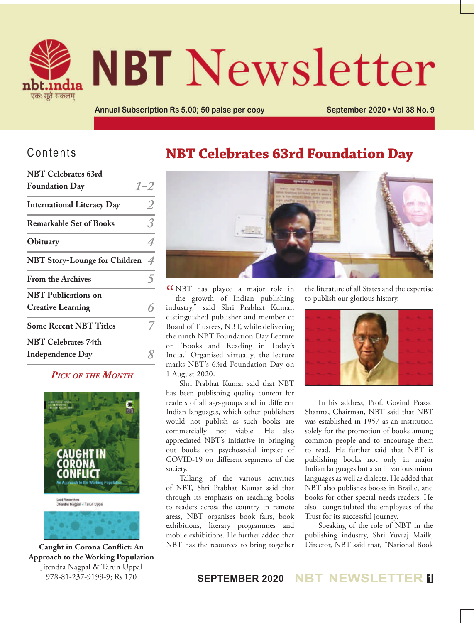

# **NBT** Newsletter

**Annual Subscription Rs 5.00; 50 paise per copy <b>September 2020 • Vol 38 No. 9** 

## Contents

| <b>NBT Celebrates 63rd</b>           |                |
|--------------------------------------|----------------|
| <b>Foundation Day</b>                | $1 - 2$        |
| <b>International Literacy Day</b>    | 2              |
| <b>Remarkable Set of Books</b>       | 3              |
| Obituary                             |                |
| <b>NBT Story-Lounge for Children</b> | $\overline{4}$ |
| <b>From the Archives</b>             |                |
| <b>NBT</b> Publications on           |                |
| <b>Creative Learning</b>             |                |
| <b>Some Recent NBT Titles</b>        |                |
| <b>NBT Celebrates 74th</b>           |                |
| <b>Independence Day</b>              |                |

#### *Pick of the Month*



**Caught in Corona Conflict: An Approach to the Working Population** Jitendra Nagpal & Tarun Uppal 978-81-237-9199-9; Rs 170

## **NBT Celebrates 63rd Foundation Day**



" NBT has played a major role in the growth of Indian publishing industry," said Shri Prabhat Kumar, distinguished publisher and member of Board of Trustees, NBT, while delivering the ninth NBT Foundation Day Lecture on 'Books and Reading in Today's India.' Organised virtually, the lecture marks NBT's 63rd Foundation Day on 1 August 2020.

Shri Prabhat Kumar said that NBT has been publishing quality content for readers of all age-groups and in different Indian languages, which other publishers would not publish as such books are commercially not viable. He also appreciated NBT's initiative in bringing out books on psychosocial impact of COVID-19 on different segments of the society.

Talking of the various activities of NBT, Shri Prabhat Kumar said that through its emphasis on reaching books to readers across the country in remote areas, NBT organises book fairs, book exhibitions, literary programmes and mobile exhibitions. He further added that NBT has the resources to bring together

the literature of all States and the expertise to publish our glorious history.



In his address, Prof. Govind Prasad Sharma, Chairman, NBT said that NBT was established in 1957 as an institution solely for the promotion of books among common people and to encourage them to read. He further said that NBT is publishing books not only in major Indian languages but also in various minor languages as well as dialects. He added that NBT also publishes books in Braille, and books for other special needs readers. He also congratulated the employees of the Trust for its successful journey.

Speaking of the role of NBT in the publishing industry, Shri Yuvraj Mailk, Director, NBT said that, "National Book

#### **SEPTEMBER 2020 NBT NEWSLETTER <sup>1</sup>**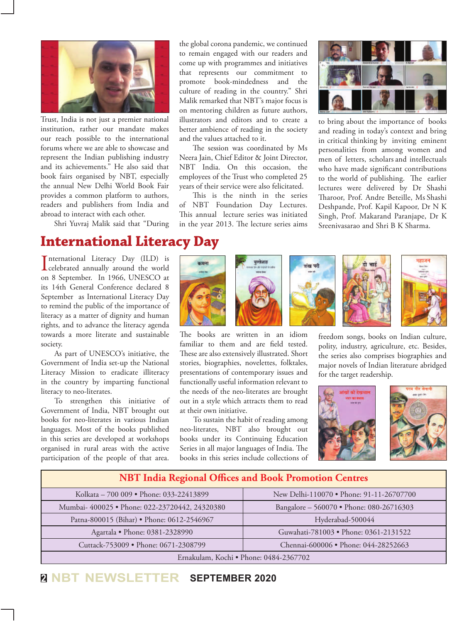

Trust, India is not just a premier national institution, rather our mandate makes our reach possible to the international forums where we are able to showcase and represent the Indian publishing industry and its achievements." He also said that book fairs organised by NBT, especially the annual New Delhi World Book Fair provides a common platform to authors, readers and publishers from India and abroad to interact with each other.

Shri Yuvraj Malik said that "During

## **International Literacy Day**

International Literacy Day (ILD) is<br>
celebrated annually around the world nternational Literacy Day (ILD) is on 8 September. In 1966, UNESCO at its 14th General Conference declared 8 September as International Literacy Day to remind the public of the importance of literacy as a matter of dignity and human rights, and to advance the literacy agenda towards a more literate and sustainable society.

As part of UNESCO's initiative, the Government of India set-up the National Literacy Mission to eradicate illiteracy in the country by imparting functional literacy to neo-literates.

To strengthen this initiative of Government of India, NBT brought out books for neo-literates in various Indian languages. Most of the books published in this series are developed at workshops organised in rural areas with the active participation of the people of that area.

the global corona pandemic, we continued to remain engaged with our readers and come up with programmes and initiatives that represents our commitment to promote book-mindedness and the culture of reading in the country." Shri Malik remarked that NBT's major focus is on mentoring children as future authors, illustrators and editors and to create a better ambience of reading in the society and the values attached to it.

The session was coordinated by Ms Neera Jain, Chief Editor & Joint Director, NBT India. On this occasion, the employees of the Trust who completed 25 years of their service were also felicitated.

This is the ninth in the series of NBT Foundation Day Lectures. This annual lecture series was initiated in the year 2013. The lecture series aims



to bring about the importance of books and reading in today's context and bring in critical thinking by inviting eminent personalities from among women and men of letters, scholars and intellectuals who have made significant contributions to the world of publishing. The earlier lectures were delivered by Dr Shashi Tharoor, Prof. Andre Beteille, Ms Shashi Deshpande, Prof. Kapil Kapoor, Dr N K Singh, Prof. Makarand Paranjape, Dr K Sreenivasarao and Shri B K Sharma.



The books are written in an idiom familiar to them and are field tested. These are also extensively illustrated. Short stories, biographies, novelettes, folktales, presentations of contemporary issues and functionally useful information relevant to the needs of the neo-literates are brought out in a style which attracts them to read at their own initiative.

To sustain the habit of reading among neo-literates, NBT also brought out books under its Continuing Education Series in all major languages of India. The books in this series include collections of







freedom songs, books on Indian culture, polity, industry, agriculture, etc. Besides, the series also comprises biographies and major novels of Indian literature abridged for the target readership.



## **NBT India Regional Offices and Book Promotion Centres** Kolkata – 700 009 • Phone: 033-22413899 New Delhi-110070 • Phone: 91-11-26707700 Mumbai- 400025 • Phone: 022-23720442, 24320380 Bangalore – 560070 • Phone: 080-26716303 Patna-800015 (Bihar) • Phone: 0612-2546967 | Hyderabad-500044 Agartala • Phone: 0381-2328990 Guwahati-781003 • Phone: 0361-2131522 Cuttack-753009 • Phone: 0671-2308799 Chennai-600006 • Phone: 044-28252663 Ernakulam, Kochi • Phone: 0484-2367702

### **<sup>2</sup> NBT NEWSLETTER SEPTEMBER 2020**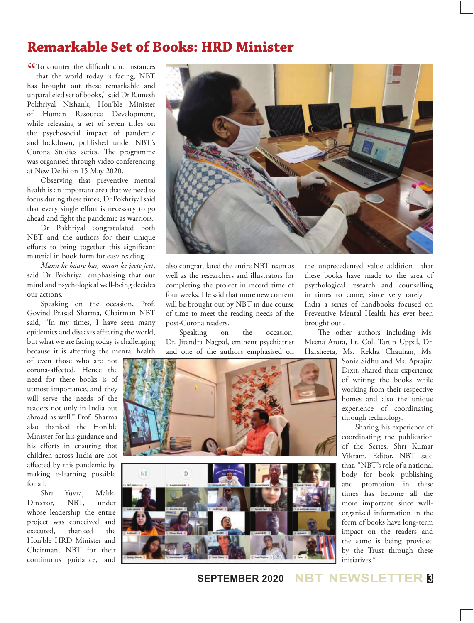## **Remarkable Set of Books: HRD Minister**

CCTo counter the difficult circumstances<br>that the world today is facing, NBT that the world today is facing, NBT has brought out these remarkable and unparalleled set of books," said Dr Ramesh Pokhriyal Nishank, Hon'ble Minister of Human Resource Development, while releasing a set of seven titles on the psychosocial impact of pandemic and lockdown, published under NBT's Corona Studies series. The programme was organised through video conferencing at New Delhi on 15 May 2020.

Observing that preventive mental health is an important area that we need to focus during these times, Dr Pokhriyal said that every single effort is necessary to go ahead and fight the pandemic as warriors.

Dr Pokhriyal congratulated both NBT and the authors for their unique efforts to bring together this significant material in book form for easy reading.

*Mann ke haare har, mann ke jeete jeet*, said Dr Pokhriyal emphasising that our mind and psychological well-being decides our actions.

Speaking on the occasion, Prof. Govind Prasad Sharma, Chairman NBT said, "In my times, I have seen many epidemics and diseases affecting the world, but what we are facing today is challenging because it is affecting the mental health

of even those who are not corona-affected. Hence the need for these books is of utmost importance, and they will serve the needs of the readers not only in India but abroad as well." Prof. Sharma also thanked the Hon'ble Minister for his guidance and his efforts in ensuring that children across India are not affected by this pandemic by making e-learning possible for all.

Shri Yuvraj Malik, Director, NBT, under whose leadership the entire project was conceived and executed, thanked the Hon'ble HRD Minister and Chairman, NBT for their continuous guidance, and



also congratulated the entire NBT team as well as the researchers and illustrators for completing the project in record time of four weeks. He said that more new content will be brought out by NBT in due course of time to meet the reading needs of the post-Corona readers.

Speaking on the occasion, Dr. Jitendra Nagpal, eminent psychiatrist and one of the authors emphasised on

the unprecedented value addition that these books have made to the area of psychological research and counselling in times to come, since very rarely in India a series of handbooks focused on Preventive Mental Health has ever been brought out'.

The other authors including Ms. Meena Arora, Lt. Col. Tarun Uppal, Dr. Harsheeta, Ms. Rekha Chauhan, Ms.

Sonie Sidhu and Ms. Aprajita Dixit, shared their experience of writing the books while working from their respective homes and also the unique experience of coordinating through technology.

Sharing his experience of coordinating the publication of the Series, Shri Kumar Vikram, Editor, NBT said that, "NBT's role of a national body for book publishing and promotion in these times has become all the more important since wellorganised information in the form of books have long-term impact on the readers and the same is being provided by the Trust through these initiatives."



**SEPTEMBER 2020 NBT NEWSLETTER <sup>3</sup>**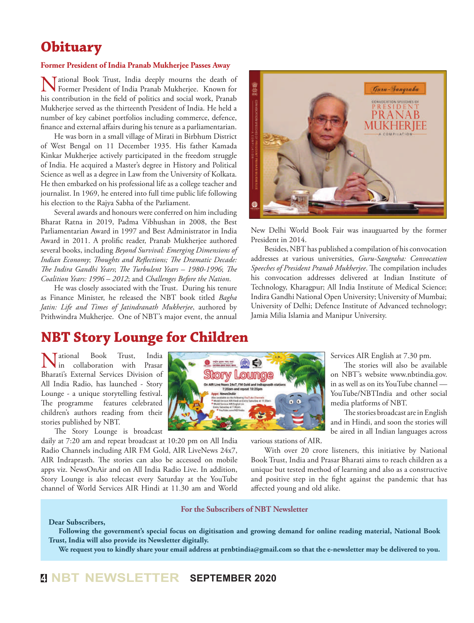## **Obituary**

#### **Former President of India Pranab Mukherjee Passes Away**

Tational Book Trust, India deeply mourns the death of Former President of India Pranab Mukherjee. Known for his contribution in the field of politics and social work, Pranab Mukherjee served as the thirteenth President of India. He held a number of key cabinet portfolios including commerce, defence, finance and external affairs during his tenure as a parliamentarian.

He was born in a small village of Mirati in Birbhum District of West Bengal on 11 December 1935. His father Kamada Kinkar Mukherjee actively participated in the freedom struggle of India. He acquired a Master's degree in History and Political Science as well as a degree in Law from the University of Kolkata. He then embarked on his professional life as a college teacher and journalist. In 1969, he entered into full time public life following his election to the Rajya Sabha of the Parliament.

Several awards and honours were conferred on him including Bharat Ratna in 2019, Padma Vibhushan in 2008, the Best Parliamentarian Award in 1997 and Best Administrator in India Award in 2011. A prolific reader, Pranab Mukherjee authored several books, including *Beyond Survival: Emerging Dimensions of Indian Economy*; *Thoughts and Reflections; The Dramatic Decade: The Indira Gandhi Years*; *The Turbulent Years – 1980-1996*; *The Coalition Years: 1996 – 2012*; and *Challenges Before the Nation*.

He was closely associated with the Trust. During his tenure as Finance Minister, he released the NBT book titled *Bagha Jatin: Life and Times of Jatindranath Mukherjee*, authored by Prithwindra Mukherjee. One of NBT's major event, the annual



New Delhi World Book Fair was inauguarted by the former President in 2014.

Besides, NBT has published a compilation of his convocation addresses at various universities, *Guru-Sangraha: Convocation Speeches of President Pranab Mukherjee*. The compilation includes his convocation addresses delivered at Indian Institute of Technology, Kharagpur; All India Institute of Medical Science; Indira Gandhi National Open University; University of Mumbai; University of Delhi; Defence Institute of Advanced technology; Jamia Milia Islamia and Manipur University.

## **NBT Story Lounge for Children**

National Book Trust, India in collaboration with Prasar Bharati's External Services Division of All India Radio, has launched - Story Lounge - a unique storytelling festival. The programme features celebrated children's authors reading from their stories published by NBT.

The Story Lounge is broadcast

daily at 7:20 am and repeat broadcast at 10:20 pm on All India Radio Channels including AIR FM Gold, AIR LiveNews 24x7, AIR Indraprasth. The stories can also be accessed on mobile apps viz. NewsOnAir and on All India Radio Live. In addition, Story Lounge is also telecast every Saturday at the YouTube channel of World Services AIR Hindi at 11.30 am and World Services AIR English at 7.30 pm.

The stories will also be available on NBT's website www.nbtindia.gov. in as well as on its YouTube channel — YouTube/NBTIndia and other social media platforms of NBT.

The stories broadcast are in English and in Hindi, and soon the stories will be aired in all Indian languages across

various stations of AIR.

With over 20 crore listeners, this initiative by National Book Trust, India and Prasar Bharati aims to reach children as a unique but tested method of learning and also as a constructive and positive step in the fight against the pandemic that has affected young and old alike.

#### **For the Subscribers of NBT Newsletter**

Story Loung ws 24x7, FM Gold and I

#### **Dear Subscribers,**

**Following the government's special focus on digitisation and growing demand for online reading material, National Book Trust, India will also provide its Newsletter digitally.**

**We request you to kindly share your email address at prnbtindia@gmail.com so that the e-newsletter may be delivered to you.**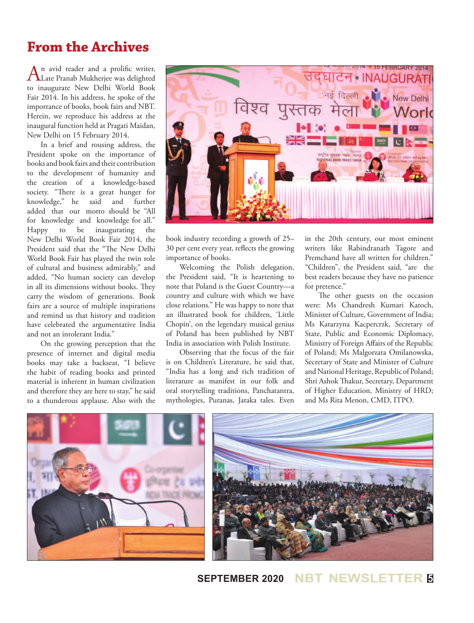## **From the Archives**

An avid reader and a prolific writer,<br>Late Pranab Mukherjee was delighted to inaugurate New Delhi World Book Fair 2014. In his address, he spoke of the importance of books, book fairs and NBT. Herein, we reproduce his address at the inaugural function held at Pragati Maidan, New Delhi on 15 February 2014.

In a brief and rousing address, the President spoke on the importance of books and book fairs and their contribution to the development of humanity and the creation of a knowledge-based society. "There is a great hunger for knowledge," he said and further added that our motto should be "All for knowledge and knowledge for all." Happy to be inaugurating the New Delhi World Book Fair 2014, the President said that the "The New Delhi World Book Fair has played the twin role of cultural and business admirably," and added, "No human society can develop in all its dimensions without books. They carry the wisdom of generations. Book fairs are a source of multiple inspirations and remind us that history and tradition have celebrated the argumentative India and not an intolerant India."

On the growing perception that the presence of internet and digital media books may take a backseat, "I believe the habit of reading books and printed material is inherent in human civilization and therefore they are here to stay," he said to a thunderous applause. Also with the



book industry recording a growth of 25– 30 per cent every year, reflects the growing importance of books.

Welcoming the Polish delegation, the President said, "It is heartening to note that Poland is the Guest Country—a country and culture with which we have close relations." He was happy to note that an illustrated book for children, 'Little Chopin', on the legendary musical genius of Poland has been published by NBT India in association with Polish Institute.

Observing that the focus of the fair is on Children's Literature, he said that, "India has a long and rich tradition of literature as manifest in our folk and oral storytelling traditions, Panchatantra, mythologies, Puranas, Jataka tales. Even

in the 20th century, our most eminent writers like Rabindranath Tagore and Premchand have all written for children." "Children", the President said, "are the best readers because they have no patience for pretence."

The other guests on the occasion were: Ms Chandresh Kumari Katoch, Minister of Culture, Government of India; Ms Katarzyna Kacpercrzk, Secretary of State, Public and Economic Diplomacy, Ministry of Foreign Affairs of the Republic of Poland; Ms Malgorzata Omilanowska, Secretary of State and Minister of Culture and National Heritage, Republic of Poland; Shri Ashok Thakur, Secretary, Department of Higher Education, Ministry of HRD; and Ms Rita Menon, CMD, ITPO.



#### **SEPTEMBER 2020 NBT NEWSLETTER <sup>5</sup>**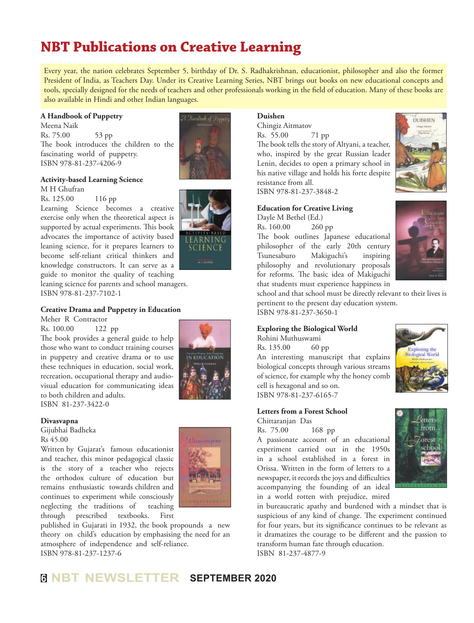## **NBT Publications on Creative Learning**

Every year, the nation celebrates September 5, birthday of Dr. S. Radhakrishnan, educationist, philosopher and also the former President of India, as Teachers Day. Under its Creative Learning Series, NBT brings out books on new educational concepts and tools, specially designed for the needs of teachers and other professionals working in the field of education. Many of these books are also available in Hindi and other Indian languages.

#### **A Handbook of Puppetry**

Meena Naik Rs. 75.00 53 pp The book introduces the children to the fascinating world of puppetry. ISBN 978-81-237-4206-9



#### **Activity-based Learning Science** M H Ghufran

Rs. 125.00 116 pp

Learning Science becomes a creative exercise only when the theoretical aspect is supported by actual experiments. This book advocates the importance of activity based leaning science, for it prepares learners to become self-reliant critical thinkers and knowledge constructors. It can serve as a guide to monitor the quality of teaching leaning science for parents and school managers. ISBN 978-81-237-7102-1

#### **Creative Drama and Puppetry in Education**

Meher R Contractor

Rs. 100.00 122 pp The book provides a general guide to help those who want to conduct training courses in puppetry and creative drama or to use these techniques in education, social work, recreation, occupational therapy and audiovisual education for communicating ideas to both children and adults. ISBN 81-237-3422-0

neglecting the traditions of teaching

#### **Divasvapna**

Gijubhai Badheka Rs 45.00

POULTRY Written by Gujarat's famous educationist and teacher, this minor pedagogical classic is the story of a teacher who rejects the orthodox culture of education but remains enthusiastic towards children and continues to experiment while consciously

through prescribed textbooks. First published in Gujarati in 1932, the book propounds a new theory on child's education by emphasising the need for an atmosphere of independence and self-reliance. ISBN 978-81-237-1237-6

#### **Duishen**

Chingiz Aitmatov Rs. 55.00 71 pp The book tells the story of Altyani, a teacher, who, inspired by the great Russian leader Lenin, decides to open a primary school in his native village and holds his forte despite resistance from all. ISBN 978-81-237-3848-2

#### **Education for Creative Living**

Dayle M Bethel (Ed.) Rs. 160.00 260 pp The book outlines Japanese educational philosopher of the early 20th century Tsunesaburo Makiguchi's inspiring philosophy and revolutionary proposals for reforms. The basic idea of Makiguchi that students must experience happiness in





school and that school must be directly relevant to their lives is pertinent to the present day education system. ISBN 978-81-237-3650-1

#### **Exploring the Biological World**

Rohini Muthuswami Rs. 135.00 60 pp An interesting manuscript that explains biological concepts through various streams of science, for example why the honey comb cell is hexagonal and so on. ISBN 978-81-237-6165-7

#### **Letters from a Forest School**

Chittaranjan Das

Rs. 75.00 168 pp A passionate account of an educational experiment carried out in the 1950s in a school established in a forest in Orissa. Written in the form of letters to a newspaper, it records the joys and difficulties accompanying the founding of an ideal in a world rotten with prejudice, mired



xploring the **Biological World** 

in bureaucratic apathy and burdened with a mindset that is suspicious of any kind of change. The experiment continued for four years, but its significance continues to be relevant as it dramatizes the courage to be different and the passion to transform human fate through education. ISBN 81-237-4877-9

## **<sup>6</sup> NBT NEWSLETTER SEPTEMBER 2020**

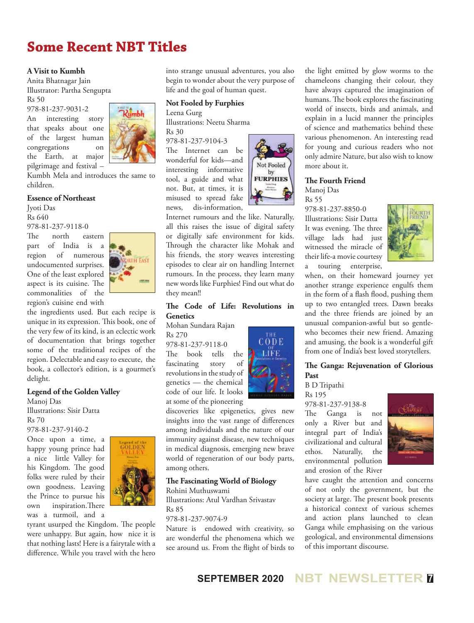## **Some Recent NBT Titles**

#### **A Visit to Kumbh**

Anita Bhatnagar Jain Illustrator: Partha Sengupta Rs 50

978-81-237-9031-2

An interesting story that speaks about one of the largest human congregations on the Earth, at major pilgrimage and festival –



Kumbh Mela and introduces the same to children.

#### **Essence of Northeast**

Jyoti Das Rs 640

978-81-237-9118-0<br>The north ea north eastern part of India is a region of numerous undocumented surprises. One of the least explored aspect is its cuisine. The commonalities of the region's cuisine end with



the ingredients used. But each recipe is unique in its expression. This book, one of the very few of its kind, is an eclectic work of documentation that brings together some of the traditional recipes of the region. Delectable and easy to execute, the book, a collector's edition, is a gourmet's delight.

#### **Legend of the Golden Valley**

Manoj Das Illustrations: Sisir Datta Rs 70 978-81-237-9140-2

Once upon a time, a happy young prince had a nice little Valley for his Kingdom. The good folks were ruled by their own goodness. Leaving the Prince to pursue his own inspiration.There was a turmoil, and a



tyrant usurped the Kingdom. The people were unhappy. But again, how nice it is that nothing lasts! Here is a fairytale with a difference. While you travel with the hero into strange unusual adventures, you also begin to wonder about the very purpose of life and the goal of human quest.

#### **Not Fooled by Furphies**

Leena Gurg

Illustrations: Neetu Sharma Rs 30

978-81-237-9104-3 The Internet can be wonderful for kids—and interesting informative tool, a guide and what not. But, at times, it is misused to spread fake news, dis-information,



Internet rumours and the like. Naturally, all this raises the issue of digital safety or digitally safe environment for kids. Through the character like Mohak and his friends, the story weaves interesting episodes to clear air on handling Internet rumours. In the process, they learn many new words like Furphies! Find out what do they mean!!

#### **The Code of Life: Revolutions in Genetics**

Mohan Sundara Rajan Rs 270

978-81-237-9118-0

The book tells the fascinating story of revolutions in the study of genetics — the chemical code of our life. It looks at some of the pioneering



discoveries like epigenetics, gives new insights into the vast range of differences among individuals and the nature of our immunity against disease, new techniques in medical diagnosis, emerging new brave world of regeneration of our body parts, among others.

#### **The Fascinating World of Biology**

Rohini Muthuswami Illustrations: Atul Vardhan Srivastav Rs 85

#### 978-81-237-9074-9

Nature is endowed with creativity, so are wonderful the phenomena which we see around us. From the flight of birds to

the light emitted by glow worms to the chameleons changing their colour, they have always captured the imagination of humans. The book explores the fascinating world of insects, birds and animals, and explain in a lucid manner the principles of science and mathematics behind these various phenomenon. An interesting read for young and curious readers who not only admire Nature, but also wish to know more about it.

#### **The Fourth Friend**  Manoj Das

Rs 55

978-81-237-8850-0 Illustrations: Sisir Datta It was evening. The three village lads had just witnessed the miracle of their life-a movie courtesy a touring enterprise,



when, on their homeward journey yet another strange experience engulfs them in the form of a flash flood, pushing them up to two entangled trees. Dawn breaks and the three friends are joined by an unusual companion-awful but so gentlewho becomes their new friend. Amazing and amusing, the book is a wonderful gift from one of India's best loved storytellers.

#### **The Ganga: Rejuvenation of Glorious Past**

B D Tripathi

Rs 195 978-81-237-9138-8 The Ganga is not only a River but and integral part of India's civilizational and cultural ethos. Naturally, the environmental pollution



have caught the attention and concerns of not only the government, but the society at large. The present book presents a historical context of various schemes and action plans launched to clean Ganga while emphasising on the various geological, and environmental dimensions of this important discourse.